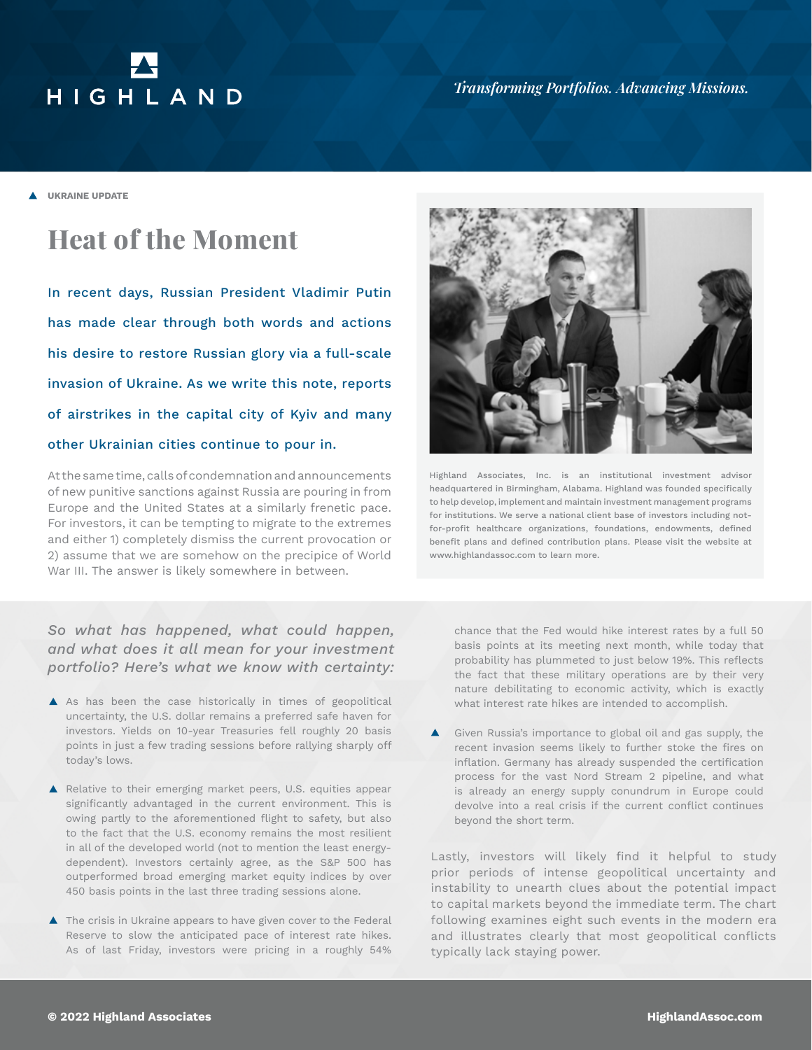# HIGHLAND

**A** UKRAINE UPDATE

# **Heat of the Moment**

In recent days, Russian President Vladimir Putin has made clear through both words and actions his desire to restore Russian glory via a full-scale invasion of Ukraine. As we write this note, reports of airstrikes in the capital city of Kyiv and many other Ukrainian cities continue to pour in.

At the same time, calls of condemnation and announcements of new punitive sanctions against Russia are pouring in from Europe and the United States at a similarly frenetic pace. For investors, it can be tempting to migrate to the extremes and either 1) completely dismiss the current provocation or 2) assume that we are somehow on the precipice of World War III. The answer is likely somewhere in between.

# *So what has happened, what could happen, and what does it all mean for your investment portfolio? Here's what we know with certainty:*

- A As has been the case historically in times of geopolitical uncertainty, the U.S. dollar remains a preferred safe haven for investors. Yields on 10-year Treasuries fell roughly 20 basis points in just a few trading sessions before rallying sharply off today's lows.
- Relative to their emerging market peers, U.S. equities appear significantly advantaged in the current environment. This is owing partly to the aforementioned flight to safety, but also to the fact that the U.S. economy remains the most resilient in all of the developed world (not to mention the least energydependent). Investors certainly agree, as the S&P 500 has outperformed broad emerging market equity indices by over 450 basis points in the last three trading sessions alone.
- ▲ The crisis in Ukraine appears to have given cover to the Federal Reserve to slow the anticipated pace of interest rate hikes. As of last Friday, investors were pricing in a roughly 54%



Highland Associates, Inc. is an institutional investment advisor headquartered in Birmingham, Alabama. Highland was founded specifically to help develop, implement and maintain investment management programs for institutions. We serve a national client base of investors including notfor-profit healthcare organizations, foundations, endowments, defined benefit plans and defined contribution plans. Please visit the website at www.highlandassoc.com to learn more.

chance that the Fed would hike interest rates by a full 50 basis points at its meeting next month, while today that probability has plummeted to just below 19%. This reflects the fact that these military operations are by their very nature debilitating to economic activity, which is exactly what interest rate hikes are intended to accomplish.

Given Russia's importance to global oil and gas supply, the recent invasion seems likely to further stoke the fires on inflation. Germany has already suspended the certification process for the vast Nord Stream 2 pipeline, and what is already an energy supply conundrum in Europe could devolve into a real crisis if the current conflict continues beyond the short term.

Lastly, investors will likely find it helpful to study prior periods of intense geopolitical uncertainty and instability to unearth clues about the potential impact to capital markets beyond the immediate term. The chart following examines eight such events in the modern era and illustrates clearly that most geopolitical conflicts typically lack staying power.